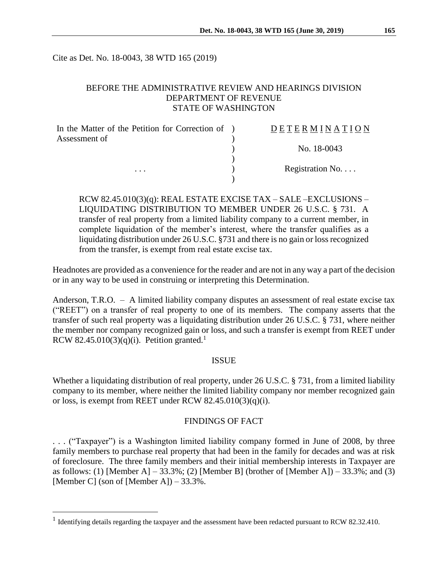Cite as Det. No. 18-0043, 38 WTD 165 (2019)

### BEFORE THE ADMINISTRATIVE REVIEW AND HEARINGS DIVISION DEPARTMENT OF REVENUE STATE OF WASHINGTON

| In the Matter of the Petition for Correction of ) | DETERMINATION   |
|---------------------------------------------------|-----------------|
| Assessment of                                     |                 |
|                                                   | No. 18-0043     |
|                                                   |                 |
| $\cdots$                                          | Registration No |
|                                                   |                 |

RCW 82.45.010(3)(q): REAL ESTATE EXCISE TAX – SALE –EXCLUSIONS – LIQUIDATING DISTRIBUTION TO MEMBER UNDER 26 U.S.C. § 731. A transfer of real property from a limited liability company to a current member, in complete liquidation of the member's interest, where the transfer qualifies as a liquidating distribution under 26 U.S.C. §731 and there is no gain or loss recognized from the transfer, is exempt from real estate excise tax.

Headnotes are provided as a convenience for the reader and are not in any way a part of the decision or in any way to be used in construing or interpreting this Determination.

Anderson, T.R.O. – A limited liability company disputes an assessment of real estate excise tax ("REET") on a transfer of real property to one of its members. The company asserts that the transfer of such real property was a liquidating distribution under 26 U.S.C. § 731, where neither the member nor company recognized gain or loss, and such a transfer is exempt from REET under RCW 82.45.010(3)(q)(i). Petition granted.<sup>1</sup>

#### ISSUE

Whether a liquidating distribution of real property, under 26 U.S.C. § 731, from a limited liability company to its member, where neither the limited liability company nor member recognized gain or loss, is exempt from REET under RCW  $82.45.010(3)(q)(i)$ .

### FINDINGS OF FACT

. . . ("Taxpayer") is a Washington limited liability company formed in June of 2008, by three family members to purchase real property that had been in the family for decades and was at risk of foreclosure. The three family members and their initial membership interests in Taxpayer are as follows: (1) [Member A] – 33.3%; (2) [Member B] (brother of [Member A]) – 33.3%; and (3) [Member C] (son of [Member A]) –  $33.3\%$ .

 $\overline{a}$ 

<sup>&</sup>lt;sup>1</sup> Identifying details regarding the taxpayer and the assessment have been redacted pursuant to RCW 82.32.410.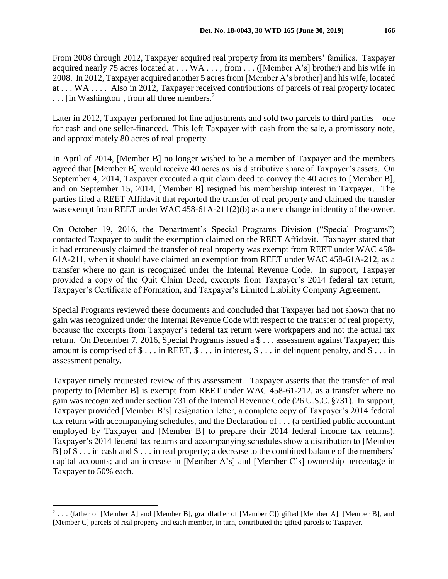From 2008 through 2012, Taxpayer acquired real property from its members' families. Taxpayer acquired nearly 75 acres located at . . . WA . . . , from . . . ([Member A's] brother) and his wife in 2008. In 2012, Taxpayer acquired another 5 acres from [Member A's brother] and his wife, located at . . . WA . . . . Also in 2012, Taxpayer received contributions of parcels of real property located ... [in Washington], from all three members.<sup>2</sup>

Later in 2012, Taxpayer performed lot line adjustments and sold two parcels to third parties – one for cash and one seller-financed. This left Taxpayer with cash from the sale, a promissory note, and approximately 80 acres of real property.

In April of 2014, [Member B] no longer wished to be a member of Taxpayer and the members agreed that [Member B] would receive 40 acres as his distributive share of Taxpayer's assets. On September 4, 2014, Taxpayer executed a quit claim deed to convey the 40 acres to [Member B], and on September 15, 2014, [Member B] resigned his membership interest in Taxpayer. The parties filed a REET Affidavit that reported the transfer of real property and claimed the transfer was exempt from REET under WAC 458-61A-211(2)(b) as a mere change in identity of the owner.

On October 19, 2016, the Department's Special Programs Division ("Special Programs") contacted Taxpayer to audit the exemption claimed on the REET Affidavit. Taxpayer stated that it had erroneously claimed the transfer of real property was exempt from REET under WAC 458- 61A-211, when it should have claimed an exemption from REET under WAC 458-61A-212, as a transfer where no gain is recognized under the Internal Revenue Code. In support, Taxpayer provided a copy of the Quit Claim Deed, excerpts from Taxpayer's 2014 federal tax return, Taxpayer's Certificate of Formation, and Taxpayer's Limited Liability Company Agreement.

Special Programs reviewed these documents and concluded that Taxpayer had not shown that no gain was recognized under the Internal Revenue Code with respect to the transfer of real property, because the excerpts from Taxpayer's federal tax return were workpapers and not the actual tax return. On December 7, 2016, Special Programs issued a \$ . . . assessment against Taxpayer; this amount is comprised of  $\$\dots$  in REET,  $\$\dots$  in interest,  $\$\dots$  in delinquent penalty, and  $\$\dots$  in assessment penalty.

Taxpayer timely requested review of this assessment. Taxpayer asserts that the transfer of real property to [Member B] is exempt from REET under WAC 458-61-212, as a transfer where no gain was recognized under section 731 of the Internal Revenue Code (26 U.S.C. §731). In support, Taxpayer provided [Member B's] resignation letter, a complete copy of Taxpayer's 2014 federal tax return with accompanying schedules, and the Declaration of . . . (a certified public accountant employed by Taxpayer and [Member B] to prepare their 2014 federal income tax returns). Taxpayer's 2014 federal tax returns and accompanying schedules show a distribution to [Member B] of \$ . . . in cash and \$ . . . in real property; a decrease to the combined balance of the members' capital accounts; and an increase in [Member A's] and [Member C's] ownership percentage in Taxpayer to 50% each.

 $\overline{a}$ 

<sup>&</sup>lt;sup>2</sup>... (father of [Member A] and [Member B], grandfather of [Member C]) gifted [Member A], [Member B], and [Member C] parcels of real property and each member, in turn, contributed the gifted parcels to Taxpayer.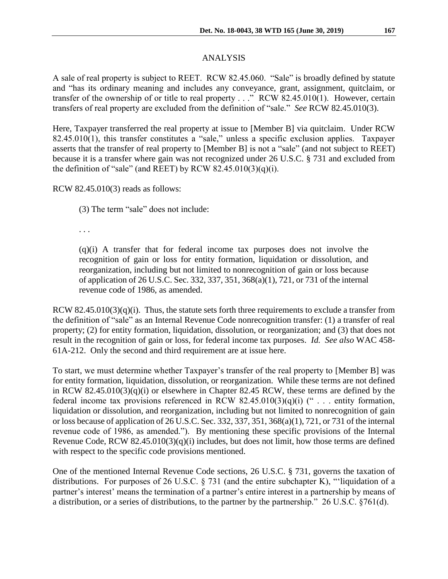## ANALYSIS

A sale of real property is subject to REET. RCW 82.45.060. "Sale" is broadly defined by statute and "has its ordinary meaning and includes any conveyance, grant, assignment, quitclaim, or transfer of the ownership of or title to real property . . ." RCW 82.45.010(1). However, certain transfers of real property are excluded from the definition of "sale." *See* RCW 82.45.010(3).

Here, Taxpayer transferred the real property at issue to [Member B] via quitclaim. Under RCW 82.45.010(1), this transfer constitutes a "sale," unless a specific exclusion applies. Taxpayer asserts that the transfer of real property to [Member B] is not a "sale" (and not subject to REET) because it is a transfer where gain was not recognized under 26 U.S.C. § 731 and excluded from the definition of "sale" (and REET) by RCW 82.45.010(3)(q)(i).

RCW 82.45.010(3) reads as follows:

(3) The term "sale" does not include:

. . .

(q)(i) A transfer that for federal income tax purposes does not involve the recognition of gain or loss for entity formation, liquidation or dissolution, and reorganization, including but not limited to nonrecognition of gain or loss because of application of 26 U.S.C. Sec. 332, 337, 351, 368(a)(1), 721, or 731 of the internal revenue code of 1986, as amended.

RCW 82.45.010(3)(q)(i). Thus, the statute sets forth three requirements to exclude a transfer from the definition of "sale" as an Internal Revenue Code nonrecognition transfer: (1) a transfer of real property; (2) for entity formation, liquidation, dissolution, or reorganization; and (3) that does not result in the recognition of gain or loss, for federal income tax purposes. *Id. See also* WAC 458- 61A-212. Only the second and third requirement are at issue here.

To start, we must determine whether Taxpayer's transfer of the real property to [Member B] was for entity formation, liquidation, dissolution, or reorganization. While these terms are not defined in RCW 82.45.010(3)(q)(i) or elsewhere in Chapter 82.45 RCW, these terms are defined by the federal income tax provisions referenced in RCW 82.45.010(3)(q)(i) (" $\ldots$  entity formation, liquidation or dissolution, and reorganization, including but not limited to nonrecognition of gain or loss because of application of 26 U.S.C. Sec. 332, 337, 351, 368(a)(1), 721, or 731 of the internal revenue code of 1986, as amended."). By mentioning these specific provisions of the Internal Revenue Code, RCW 82.45.010(3)(q)(i) includes, but does not limit, how those terms are defined with respect to the specific code provisions mentioned.

One of the mentioned Internal Revenue Code sections, 26 U.S.C. § 731, governs the taxation of distributions. For purposes of 26 U.S.C. § 731 (and the entire subchapter K), "'liquidation of a partner's interest' means the termination of a partner's entire interest in a partnership by means of a distribution, or a series of distributions, to the partner by the partnership." 26 U.S.C. §761(d).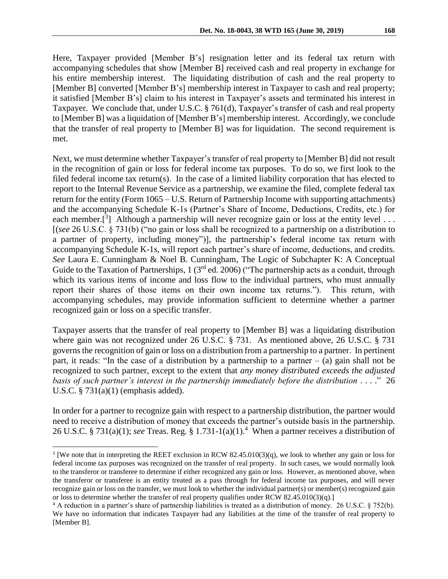Here, Taxpayer provided [Member B's] resignation letter and its federal tax return with accompanying schedules that show [Member B] received cash and real property in exchange for his entire membership interest. The liquidating distribution of cash and the real property to [Member B] converted [Member B's] membership interest in Taxpayer to cash and real property; it satisfied [Member B's] claim to his interest in Taxpayer's assets and terminated his interest in Taxpayer. We conclude that, under U.S.C. § 761(d), Taxpayer's transfer of cash and real property to [Member B] was a liquidation of [Member B's] membership interest. Accordingly, we conclude that the transfer of real property to [Member B] was for liquidation. The second requirement is met.

Next, we must determine whether Taxpayer's transfer of real property to [Member B] did not result in the recognition of gain or loss for federal income tax purposes. To do so, we first look to the filed federal income tax return(s). In the case of a limited liability corporation that has elected to report to the Internal Revenue Service as a partnership, we examine the filed, complete federal tax return for the entity (Form 1065 – U.S. Return of Partnership Income with supporting attachments) and the accompanying Schedule K-1s (Partner's Share of Income, Deductions, Credits, etc.) for each member.<sup>[3</sup>] Although a partnership will never recognize gain or loss at the entity level ... [(*see* 26 U.S.C. § 731(b) ("no gain or loss shall be recognized to a [partnership](https://www.law.cornell.edu/definitions/uscode.php?width=840&height=800&iframe=true&def_id=26-USC-975639300-1194636059&term_occur=326&term_src=title:26:subtitle:A:chapter:1:subchapter:K:part:II:subpart:B:section:731) on a distribution to a partner of property, including [money"](https://www.law.cornell.edu/definitions/uscode.php?width=840&height=800&iframe=true&def_id=26-USC-104079552-1601443720&term_occur=3&term_src=title:26:subtitle:A:chapter:1:subchapter:K:part:II:subpart:B:section:731))], the partnership's federal income tax return with accompanying Schedule K-1s, will report each partner's share of income, deductions, and credits. *See* Laura E. Cunningham & Noel B. Cunningham, The Logic of Subchapter K: A Conceptual Guide to the Taxation of Partnerships, 1 (3<sup>rd</sup> ed. 2006) ("The partnership acts as a conduit, through which its various items of income and loss flow to the individual partners, who must annually report their shares of those items on their own income tax returns."). This return, with accompanying schedules, may provide information sufficient to determine whether a partner recognized gain or loss on a specific transfer.

Taxpayer asserts that the transfer of real property to [Member B] was a liquidating distribution where gain was not recognized under 26 U.S.C. § 731. As mentioned above, 26 U.S.C. § 731 governs the recognition of gain or loss on a distribution from a partnership to a partner. In pertinent part, it reads: "In the case of a distribution by a partnership to a partner  $-$  (a) gain shall not be recognized to such partner, except to the extent that *any money distributed exceeds the adjusted basis of such partner's interest in the partnership immediately before the distribution* . . . ." 26 U.S.C. § 731(a)(1) (emphasis added).

In order for a partner to recognize gain with respect to a partnership distribution, the partner would need to receive a distribution of money that exceeds the partner's outside basis in the partnership. 26 U.S.C. § 731(a)(1); *see* Treas. Reg. § 1.731-1(a)(1).<sup>4</sup> When a partner receives a distribution of

 $\overline{a}$ 

<sup>&</sup>lt;sup>3</sup> [We note that in interpreting the REET exclusion in RCW 82.45.010(3)(q), we look to whether any gain or loss for federal income tax purposes was recognized on the transfer of real property. In such cases, we would normally look to the transferor or transferee to determine if either recognized any gain or loss. However, as mentioned above, when the transferor or transferee is an entity treated as a pass through for federal income tax purposes, and will never recognize gain or loss on the transfer, we must look to whether the individual partner(s) or member(s) recognized gain or loss to determine whether the transfer of real property qualifies under RCW 82.45.010(3)(q).]

<sup>4</sup> A reduction in a partner's share of partnership liabilities is treated as a distribution of money. 26 U.S.C. § 752(b). We have no information that indicates Taxpayer had any liabilities at the time of the transfer of real property to [Member B].